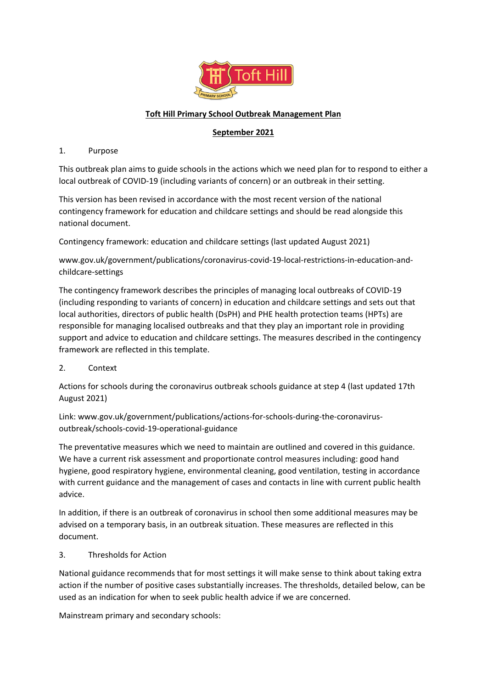

# **Toft Hill Primary School Outbreak Management Plan**

# **September 2021**

## 1. Purpose

This outbreak plan aims to guide schools in the actions which we need plan for to respond to either a local outbreak of COVID-19 (including variants of concern) or an outbreak in their setting.

This version has been revised in accordance with the most recent version of the national contingency framework for education and childcare settings and should be read alongside this national document.

Contingency framework: education and childcare settings (last updated August 2021)

www.gov.uk/government/publications/coronavirus-covid-19-local-restrictions-in-education-andchildcare-settings

The contingency framework describes the principles of managing local outbreaks of COVID-19 (including responding to variants of concern) in education and childcare settings and sets out that local authorities, directors of public health (DsPH) and PHE health protection teams (HPTs) are responsible for managing localised outbreaks and that they play an important role in providing support and advice to education and childcare settings. The measures described in the contingency framework are reflected in this template.

2. Context

Actions for schools during the coronavirus outbreak schools guidance at step 4 (last updated 17th August 2021)

Link: www.gov.uk/government/publications/actions-for-schools-during-the-coronavirusoutbreak/schools-covid-19-operational-guidance

The preventative measures which we need to maintain are outlined and covered in this guidance. We have a current risk assessment and proportionate control measures including: good hand hygiene, good respiratory hygiene, environmental cleaning, good ventilation, testing in accordance with current guidance and the management of cases and contacts in line with current public health advice.

In addition, if there is an outbreak of coronavirus in school then some additional measures may be advised on a temporary basis, in an outbreak situation. These measures are reflected in this document.

# 3. Thresholds for Action

National guidance recommends that for most settings it will make sense to think about taking extra action if the number of positive cases substantially increases. The thresholds, detailed below, can be used as an indication for when to seek public health advice if we are concerned.

Mainstream primary and secondary schools: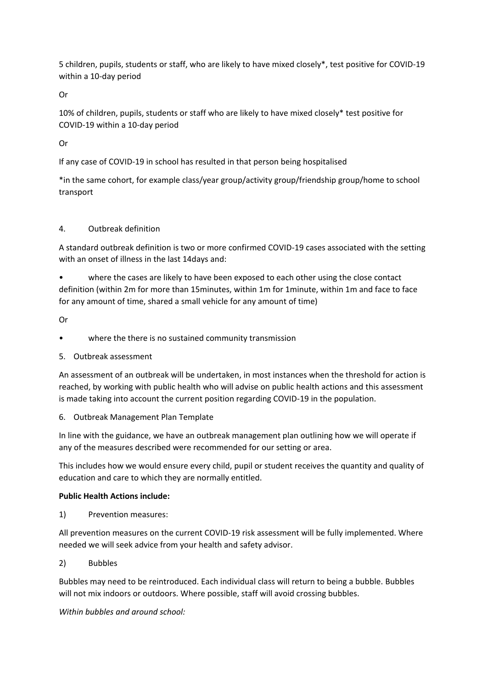5 children, pupils, students or staff, who are likely to have mixed closely\*, test positive for COVID-19 within a 10-day period

Or

10% of children, pupils, students or staff who are likely to have mixed closely\* test positive for COVID-19 within a 10-day period

Or

If any case of COVID-19 in school has resulted in that person being hospitalised

\*in the same cohort, for example class/year group/activity group/friendship group/home to school transport

## 4. Outbreak definition

A standard outbreak definition is two or more confirmed COVID-19 cases associated with the setting with an onset of illness in the last 14days and:

where the cases are likely to have been exposed to each other using the close contact definition (within 2m for more than 15minutes, within 1m for 1minute, within 1m and face to face for any amount of time, shared a small vehicle for any amount of time)

Or

• where the there is no sustained community transmission

5. Outbreak assessment

An assessment of an outbreak will be undertaken, in most instances when the threshold for action is reached, by working with public health who will advise on public health actions and this assessment is made taking into account the current position regarding COVID-19 in the population.

6. Outbreak Management Plan Template

In line with the guidance, we have an outbreak management plan outlining how we will operate if any of the measures described were recommended for our setting or area.

This includes how we would ensure every child, pupil or student receives the quantity and quality of education and care to which they are normally entitled.

#### **Public Health Actions include:**

1) Prevention measures:

All prevention measures on the current COVID-19 risk assessment will be fully implemented. Where needed we will seek advice from your health and safety advisor.

2) Bubbles

Bubbles may need to be reintroduced. Each individual class will return to being a bubble. Bubbles will not mix indoors or outdoors. Where possible, staff will avoid crossing bubbles.

*Within bubbles and around school:*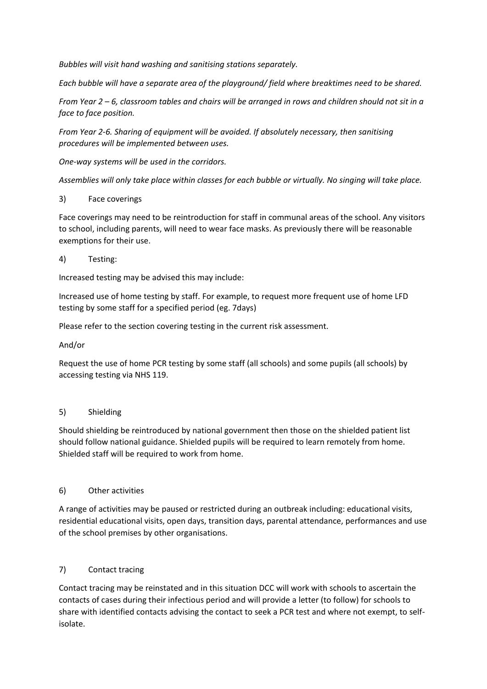*Bubbles will visit hand washing and sanitising stations separately.*

*Each bubble will have a separate area of the playground/ field where breaktimes need to be shared.*

*From Year 2 – 6, classroom tables and chairs will be arranged in rows and children should not sit in a face to face position.* 

*From Year 2-6. Sharing of equipment will be avoided. If absolutely necessary, then sanitising procedures will be implemented between uses.* 

*One-way systems will be used in the corridors.*

*Assemblies will only take place within classes for each bubble or virtually. No singing will take place.* 

## 3) Face coverings

Face coverings may need to be reintroduction for staff in communal areas of the school. Any visitors to school, including parents, will need to wear face masks. As previously there will be reasonable exemptions for their use.

## 4) Testing:

Increased testing may be advised this may include:

Increased use of home testing by staff. For example, to request more frequent use of home LFD testing by some staff for a specified period (eg. 7days)

Please refer to the section covering testing in the current risk assessment.

### And/or

Request the use of home PCR testing by some staff (all schools) and some pupils (all schools) by accessing testing via NHS 119.

#### 5) Shielding

Should shielding be reintroduced by national government then those on the shielded patient list should follow national guidance. Shielded pupils will be required to learn remotely from home. Shielded staff will be required to work from home.

# 6) Other activities

A range of activities may be paused or restricted during an outbreak including: educational visits, residential educational visits, open days, transition days, parental attendance, performances and use of the school premises by other organisations.

#### 7) Contact tracing

Contact tracing may be reinstated and in this situation DCC will work with schools to ascertain the contacts of cases during their infectious period and will provide a letter (to follow) for schools to share with identified contacts advising the contact to seek a PCR test and where not exempt, to selfisolate.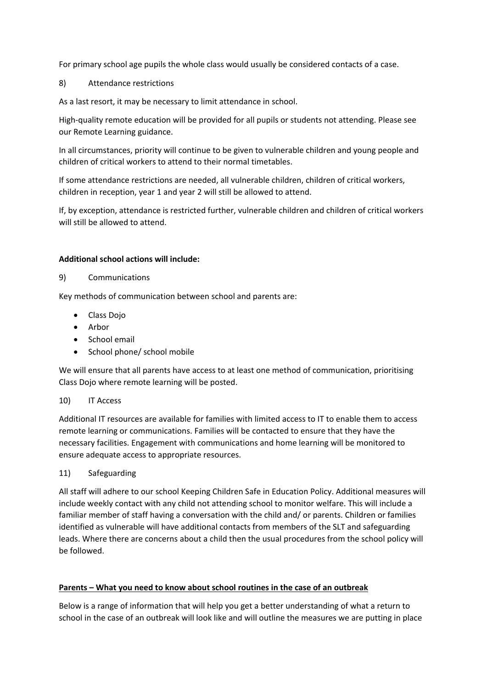For primary school age pupils the whole class would usually be considered contacts of a case.

8) Attendance restrictions

As a last resort, it may be necessary to limit attendance in school.

High-quality remote education will be provided for all pupils or students not attending. Please see our Remote Learning guidance.

In all circumstances, priority will continue to be given to vulnerable children and young people and children of critical workers to attend to their normal timetables.

If some attendance restrictions are needed, all vulnerable children, children of critical workers, children in reception, year 1 and year 2 will still be allowed to attend.

If, by exception, attendance is restricted further, vulnerable children and children of critical workers will still be allowed to attend.

## **Additional school actions will include:**

9) Communications

Key methods of communication between school and parents are:

- Class Dojo
- Arbor
- School email
- School phone/ school mobile

We will ensure that all parents have access to at least one method of communication, prioritising Class Dojo where remote learning will be posted.

#### 10) IT Access

Additional IT resources are available for families with limited access to IT to enable them to access remote learning or communications. Families will be contacted to ensure that they have the necessary facilities. Engagement with communications and home learning will be monitored to ensure adequate access to appropriate resources.

#### 11) Safeguarding

All staff will adhere to our school Keeping Children Safe in Education Policy. Additional measures will include weekly contact with any child not attending school to monitor welfare. This will include a familiar member of staff having a conversation with the child and/ or parents. Children or families identified as vulnerable will have additional contacts from members of the SLT and safeguarding leads. Where there are concerns about a child then the usual procedures from the school policy will be followed.

# **Parents – What you need to know about school routines in the case of an outbreak**

Below is a range of information that will help you get a better understanding of what a return to school in the case of an outbreak will look like and will outline the measures we are putting in place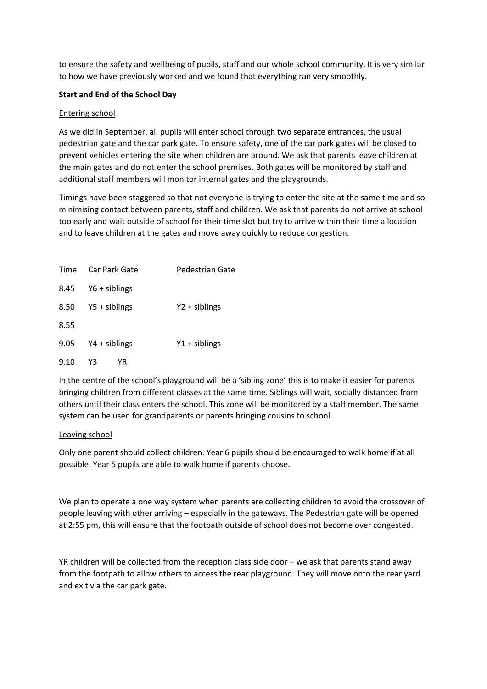to ensure the safety and wellbeing of pupils, staff and our whole school community. It is very similar to how we have previously worked and we found that everything ran very smoothly.

## **Start and End of the School Day**

### Entering school

As we did in September, all pupils will enter school through two separate entrances, the usual pedestrian gate and the car park gate. To ensure safety, one of the car park gates will be closed to prevent vehicles entering the site when children are around. We ask that parents leave children at the main gates and do not enter the school premises. Both gates will be monitored by staff and additional staff members will monitor internal gates and the playgrounds.

Timings have been staggered so that not everyone is trying to enter the site at the same time and so minimising contact between parents, staff and children. We ask that parents do not arrive at school too early and wait outside of school for their time slot but try to arrive within their time allocation and to leave children at the gates and move away quickly to reduce congestion.

| Time | Car Park Gate<br>Pedestrian Gate |                |
|------|----------------------------------|----------------|
| 8.45 | $Y6 + sibling$                   |                |
| 8.50 | Y5 + siblings                    | $Y2 + sibling$ |
| 8.55 |                                  |                |
| 9.05 | Y4 + siblings                    | $Y1 + sibling$ |
| 9.10 | Y3<br>ΥR                         |                |

In the centre of the school's playground will be a 'sibling zone' this is to make it easier for parents bringing children from different classes at the same time. Siblings will wait, socially distanced from others until their class enters the school. This zone will be monitored by a staff member. The same system can be used for grandparents or parents bringing cousins to school.

#### Leaving school

Only one parent should collect children. Year 6 pupils should be encouraged to walk home if at all possible. Year 5 pupils are able to walk home if parents choose.

We plan to operate a one way system when parents are collecting children to avoid the crossover of people leaving with other arriving – especially in the gateways. The Pedestrian gate will be opened at 2:55 pm, this will ensure that the footpath outside of school does not become over congested.

YR children will be collected from the reception class side door – we ask that parents stand away from the footpath to allow others to access the rear playground. They will move onto the rear yard and exit via the car park gate.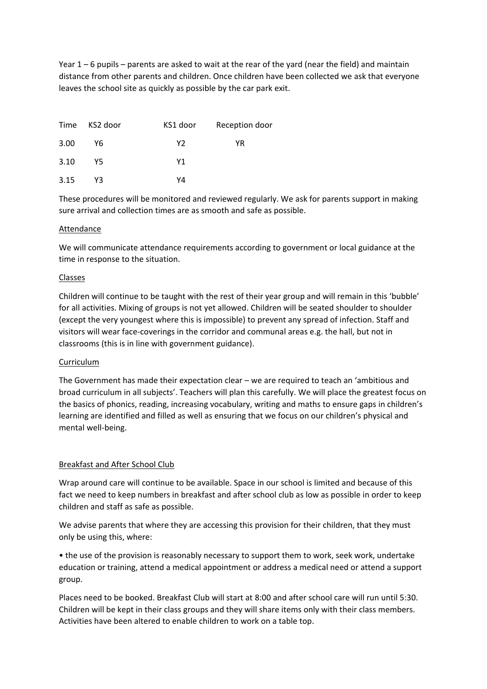Year 1 – 6 pupils – parents are asked to wait at the rear of the yard (near the field) and maintain distance from other parents and children. Once children have been collected we ask that everyone leaves the school site as quickly as possible by the car park exit.

|      | Time KS2 door | KS1 door | Reception door |
|------|---------------|----------|----------------|
| 3.00 | Υ6            | Y2       | YR.            |
| 3.10 | Y5.           | Υ1       |                |
| 3.15 | Y3            | Y4       |                |

These procedures will be monitored and reviewed regularly. We ask for parents support in making sure arrival and collection times are as smooth and safe as possible.

#### Attendance

We will communicate attendance requirements according to government or local guidance at the time in response to the situation.

#### Classes

Children will continue to be taught with the rest of their year group and will remain in this 'bubble' for all activities. Mixing of groups is not yet allowed. Children will be seated shoulder to shoulder (except the very youngest where this is impossible) to prevent any spread of infection. Staff and visitors will wear face-coverings in the corridor and communal areas e.g. the hall, but not in classrooms (this is in line with government guidance).

#### Curriculum

The Government has made their expectation clear – we are required to teach an 'ambitious and broad curriculum in all subjects'. Teachers will plan this carefully. We will place the greatest focus on the basics of phonics, reading, increasing vocabulary, writing and maths to ensure gaps in children's learning are identified and filled as well as ensuring that we focus on our children's physical and mental well-being.

#### Breakfast and After School Club

Wrap around care will continue to be available. Space in our school is limited and because of this fact we need to keep numbers in breakfast and after school club as low as possible in order to keep children and staff as safe as possible.

We advise parents that where they are accessing this provision for their children, that they must only be using this, where:

• the use of the provision is reasonably necessary to support them to work, seek work, undertake education or training, attend a medical appointment or address a medical need or attend a support group.

Places need to be booked. Breakfast Club will start at 8:00 and after school care will run until 5:30. Children will be kept in their class groups and they will share items only with their class members. Activities have been altered to enable children to work on a table top.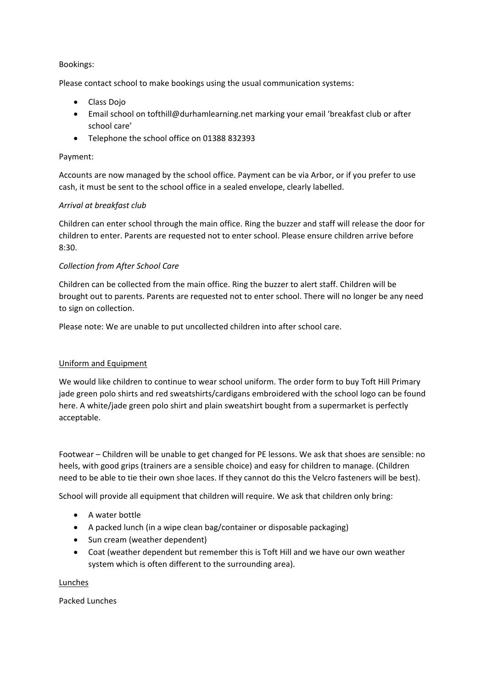### Bookings:

Please contact school to make bookings using the usual communication systems:

- Class Dojo
- Email school on tofthill@durhamlearning.net marking your email 'breakfast club or after school care'
- Telephone the school office on 01388 832393

## Payment:

Accounts are now managed by the school office. Payment can be via Arbor, or if you prefer to use cash, it must be sent to the school office in a sealed envelope, clearly labelled.

## *Arrival at breakfast club*

Children can enter school through the main office. Ring the buzzer and staff will release the door for children to enter. Parents are requested not to enter school. Please ensure children arrive before 8:30.

## *Collection from After School Care*

Children can be collected from the main office. Ring the buzzer to alert staff. Children will be brought out to parents. Parents are requested not to enter school. There will no longer be any need to sign on collection.

Please note: We are unable to put uncollected children into after school care.

#### Uniform and Equipment

We would like children to continue to wear school uniform. The order form to buy Toft Hill Primary jade green polo shirts and red sweatshirts/cardigans embroidered with the school logo can be found here. A white/jade green polo shirt and plain sweatshirt bought from a supermarket is perfectly acceptable.

Footwear – Children will be unable to get changed for PE lessons. We ask that shoes are sensible: no heels, with good grips (trainers are a sensible choice) and easy for children to manage. (Children need to be able to tie their own shoe laces. If they cannot do this the Velcro fasteners will be best).

School will provide all equipment that children will require. We ask that children only bring:

- A water bottle
- A packed lunch (in a wipe clean bag/container or disposable packaging)
- Sun cream (weather dependent)
- Coat (weather dependent but remember this is Toft Hill and we have our own weather system which is often different to the surrounding area).

#### Lunches

Packed Lunches